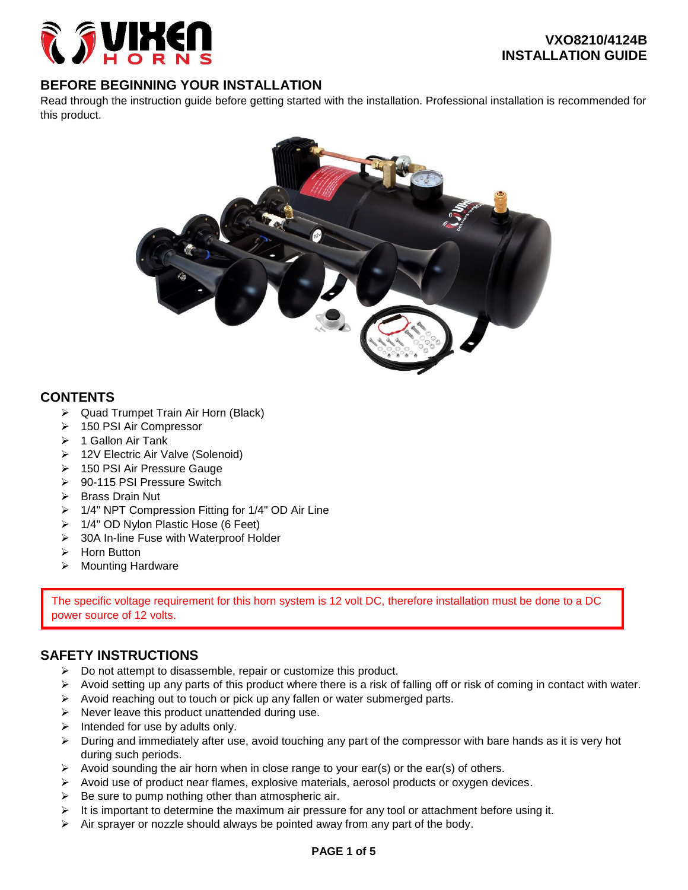

# **BEFORE BEGINNING YOUR INSTALLATION**

Read through the instruction guide before getting started with the installation. Professional installation is recommended for this product.



## **CONTENTS**

- **►** Quad Trumpet Train Air Horn (Black)
- > 150 PSI Air Compressor
- $\geq 1$  Gallon Air Tank
- ▶ 12V Electric Air Valve (Solenoid)
- 150 PSI Air Pressure Gauge
- 90-115 PSI Pressure Switch
- $\triangleright$  Brass Drain Nut
- ▶ 1/4" NPT Compression Fitting for 1/4" OD Air Line
- ▶ 1/4" OD Nylon Plastic Hose (6 Feet)
- ▶ 30A In-line Fuse with Waterproof Holder
- $\triangleright$  Horn Button
- > Mounting Hardware

The specific voltage requirement for this horn system is 12 volt DC, therefore installation must be done to a DC power source of 12 volts.

# **SAFETY INSTRUCTIONS**

- $\triangleright$  Do not attempt to disassemble, repair or customize this product.
- $\triangleright$  Avoid setting up any parts of this product where there is a risk of falling off or risk of coming in contact with water.
- $\triangleright$  Avoid reaching out to touch or pick up any fallen or water submerged parts.
- $\triangleright$  Never leave this product unattended during use.
- $\triangleright$  Intended for use by adults only.
- > During and immediately after use, avoid touching any part of the compressor with bare hands as it is very hot during such periods.
- $\triangleright$  Avoid sounding the air horn when in close range to your ear(s) or the ear(s) of others.
- $\triangleright$  Avoid use of product near flames, explosive materials, aerosol products or oxygen devices.
- $\triangleright$  Be sure to pump nothing other than atmospheric air.
- $\triangleright$  It is important to determine the maximum air pressure for any tool or attachment before using it.
- $\triangleright$  Air sprayer or nozzle should always be pointed away from any part of the body.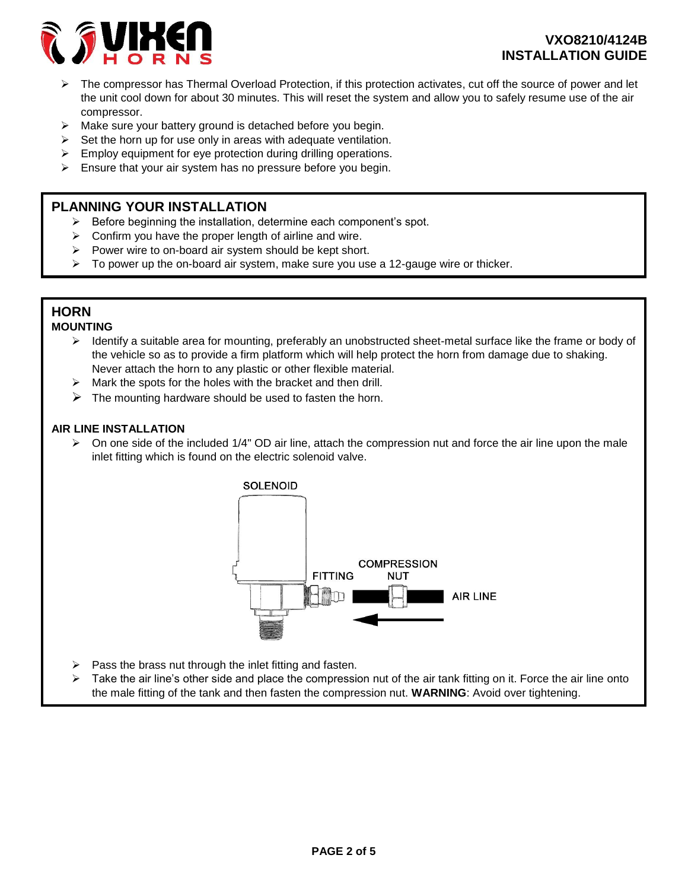

- $\triangleright$  The compressor has Thermal Overload Protection, if this protection activates, cut off the source of power and let the unit cool down for about 30 minutes. This will reset the system and allow you to safely resume use of the air compressor.
- $\triangleright$  Make sure your battery ground is detached before you begin.
- $\triangleright$  Set the horn up for use only in areas with adequate ventilation.
- $\triangleright$  Employ equipment for eye protection during drilling operations.
- $\triangleright$  Ensure that your air system has no pressure before you begin.

## **PLANNING YOUR INSTALLATION**

- $\triangleright$  Before beginning the installation, determine each component's spot.
- $\triangleright$  Confirm you have the proper length of airline and wire.
- $\triangleright$  Power wire to on-board air system should be kept short.
- $\triangleright$  To power up the on-board air system, make sure you use a 12-gauge wire or thicker.

# **HORN**

## **MOUNTING**

- $\triangleright$  Identify a suitable area for mounting, preferably an unobstructed sheet-metal surface like the frame or body of the vehicle so as to provide a firm platform which will help protect the horn from damage due to shaking. Never attach the horn to any plastic or other flexible material.
- $\triangleright$  Mark the spots for the holes with the bracket and then drill.
- $\triangleright$  The mounting hardware should be used to fasten the horn.

### **AIR LINE INSTALLATION**

 $\triangleright$  On one side of the included 1/4" OD air line, attach the compression nut and force the air line upon the male inlet fitting which is found on the electric solenoid valve.



- $\triangleright$  Pass the brass nut through the inlet fitting and fasten.
- $\triangleright$  Take the air line's other side and place the compression nut of the air tank fitting on it. Force the air line onto the male fitting of the tank and then fasten the compression nut. **WARNING**: Avoid over tightening.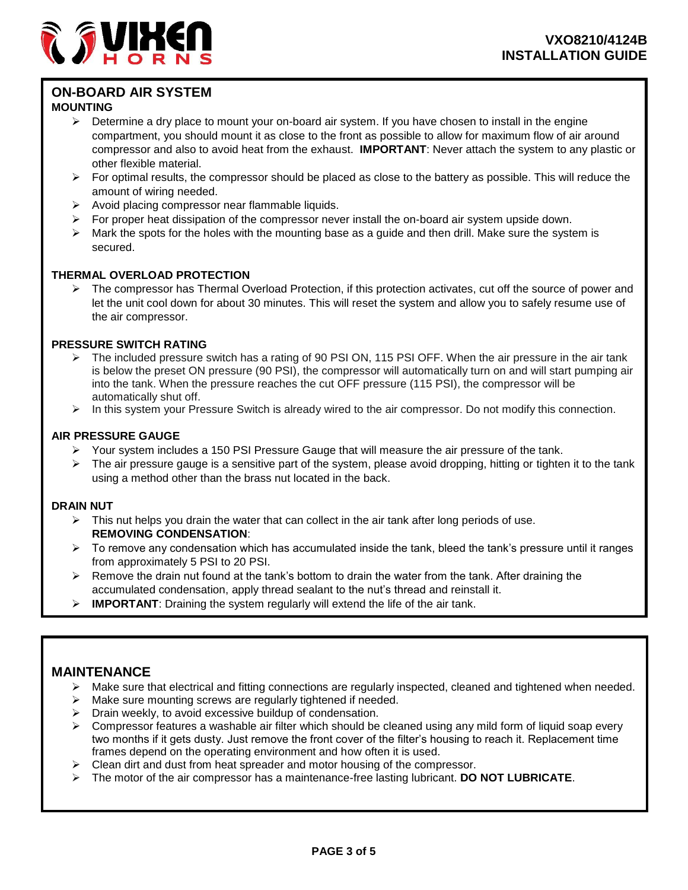

# **ON-BOARD AIR SYSTEM**

### **MOUNTING**

- $\triangleright$  Determine a dry place to mount your on-board air system. If you have chosen to install in the engine compartment, you should mount it as close to the front as possible to allow for maximum flow of air around compressor and also to avoid heat from the exhaust. **IMPORTANT**: Never attach the system to any plastic or other flexible material.
- $\triangleright$  For optimal results, the compressor should be placed as close to the battery as possible. This will reduce the amount of wiring needed.
- $\triangleright$  Avoid placing compressor near flammable liquids.
- $\triangleright$  For proper heat dissipation of the compressor never install the on-board air system upside down.
- $\triangleright$  Mark the spots for the holes with the mounting base as a guide and then drill. Make sure the system is secured.

## **THERMAL OVERLOAD PROTECTION**

 $\triangleright$  The compressor has Thermal Overload Protection, if this protection activates, cut off the source of power and let the unit cool down for about 30 minutes. This will reset the system and allow you to safely resume use of the air compressor.

### **PRESSURE SWITCH RATING**

- > The included pressure switch has a rating of 90 PSI ON, 115 PSI OFF. When the air pressure in the air tank is below the preset ON pressure (90 PSI), the compressor will automatically turn on and will start pumping air into the tank. When the pressure reaches the cut OFF pressure (115 PSI), the compressor will be automatically shut off.
- In this system your Pressure Switch is already wired to the air compressor. Do not modify this connection.

### **AIR PRESSURE GAUGE**

- $\triangleright$  Your system includes a 150 PSI Pressure Gauge that will measure the air pressure of the tank.
- $\triangleright$  The air pressure gauge is a sensitive part of the system, please avoid dropping, hitting or tighten it to the tank using a method other than the brass nut located in the back.

### **DRAIN NUT**

- $\triangleright$  This nut helps you drain the water that can collect in the air tank after long periods of use. **REMOVING CONDENSATION**:
- $\triangleright$  To remove any condensation which has accumulated inside the tank, bleed the tank's pressure until it ranges from approximately 5 PSI to 20 PSI.
- $\triangleright$  Remove the drain nut found at the tank's bottom to drain the water from the tank. After draining the accumulated condensation, apply thread sealant to the nut's thread and reinstall it.
- **IMPORTANT:** Draining the system regularly will extend the life of the air tank.

# **MAINTENANCE**

- Make sure that electrical and fitting connections are regularly inspected, cleaned and tightened when needed.
- Make sure mounting screws are regularly tightened if needed.
- $\triangleright$  Drain weekly, to avoid excessive buildup of condensation.
- $\triangleright$  Compressor features a washable air filter which should be cleaned using any mild form of liquid soap every two months if it gets dusty. Just remove the front cover of the filter's housing to reach it. Replacement time frames depend on the operating environment and how often it is used.
- $\triangleright$  Clean dirt and dust from heat spreader and motor housing of the compressor.
- The motor of the air compressor has a maintenance-free lasting lubricant. **DO NOT LUBRICATE**.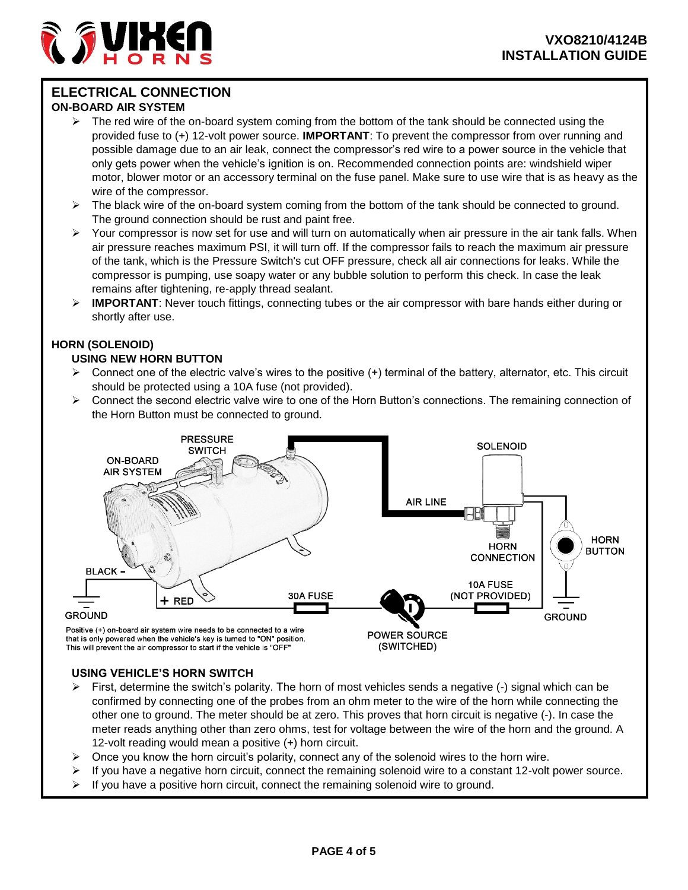# **ELECTRICAL CONNECTION**

### **ON-BOARD AIR SYSTEM**

- The red wire of the on-board system coming from the bottom of the tank should be connected using the provided fuse to (+) 12-volt power source. **IMPORTANT**: To prevent the compressor from over running and possible damage due to an air leak, connect the compressor's red wire to a power source in the vehicle that only gets power when the vehicle's ignition is on. Recommended connection points are: windshield wiper motor, blower motor or an accessory terminal on the fuse panel. Make sure to use wire that is as heavy as the wire of the compressor.
- $\triangleright$  The black wire of the on-board system coming from the bottom of the tank should be connected to ground. The ground connection should be rust and paint free.
- $\triangleright$  Your compressor is now set for use and will turn on automatically when air pressure in the air tank falls. When air pressure reaches maximum PSI, it will turn off. If the compressor fails to reach the maximum air pressure of the tank, which is the Pressure Switch's cut OFF pressure, check all air connections for leaks. While the compressor is pumping, use soapy water or any bubble solution to perform this check. In case the leak remains after tightening, re-apply thread sealant.
- **IMPORTANT**: Never touch fittings, connecting tubes or the air compressor with bare hands either during or shortly after use.

# **HORN (SOLENOID)**

## **USING NEW HORN BUTTON**

- $\triangleright$  Connect one of the electric valve's wires to the positive (+) terminal of the battery, alternator, etc. This circuit should be protected using a 10A fuse (not provided).
- Connect the second electric valve wire to one of the Horn Button's connections. The remaining connection of the Horn Button must be connected to ground.



### **USING VEHICLE'S HORN SWITCH**

- First, determine the switch's polarity. The horn of most vehicles sends a negative (-) signal which can be confirmed by connecting one of the probes from an ohm meter to the wire of the horn while connecting the other one to ground. The meter should be at zero. This proves that horn circuit is negative (-). In case the meter reads anything other than zero ohms, test for voltage between the wire of the horn and the ground. A 12-volt reading would mean a positive (+) horn circuit.
- $\triangleright$  Once you know the horn circuit's polarity, connect any of the solenoid wires to the horn wire.
- If you have a negative horn circuit, connect the remaining solenoid wire to a constant 12-volt power source.
- $\triangleright$  If you have a positive horn circuit, connect the remaining solenoid wire to ground.